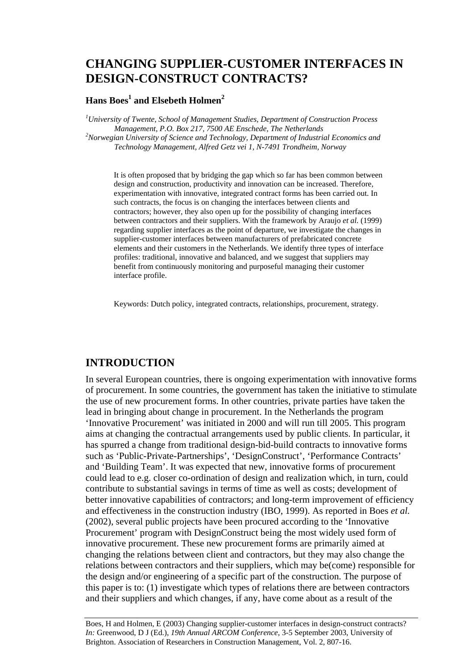# **CHANGING SUPPLIER-CUSTOMER INTERFACES IN DESIGN-CONSTRUCT CONTRACTS?**

#### **Hans Boes<sup>1</sup> and Elsebeth Holmen<sup>2</sup>**

*1 University of Twente, School of Management Studies, Department of Construction Process Management, P.O. Box 217, 7500 AE Enschede, The Netherlands 2 Norwegian University of Science and Technology, Department of Industrial Economics and Technology Management, Alfred Getz vei 1, N-7491 Trondheim, Norway* 

It is often proposed that by bridging the gap which so far has been common between design and construction, productivity and innovation can be increased. Therefore, experimentation with innovative, integrated contract forms has been carried out. In such contracts, the focus is on changing the interfaces between clients and contractors; however, they also open up for the possibility of changing interfaces between contractors and their suppliers. With the framework by Araujo *et al.* (1999) regarding supplier interfaces as the point of departure, we investigate the changes in supplier-customer interfaces between manufacturers of prefabricated concrete elements and their customers in the Netherlands. We identify three types of interface profiles: traditional, innovative and balanced, and we suggest that suppliers may benefit from continuously monitoring and purposeful managing their customer interface profile.

Keywords: Dutch policy, integrated contracts, relationships, procurement, strategy.

### **INTRODUCTION**

In several European countries, there is ongoing experimentation with innovative forms of procurement. In some countries, the government has taken the initiative to stimulate the use of new procurement forms. In other countries, private parties have taken the lead in bringing about change in procurement. In the Netherlands the program 'Innovative Procurement' was initiated in 2000 and will run till 2005. This program aims at changing the contractual arrangements used by public clients. In particular, it has spurred a change from traditional design-bid-build contracts to innovative forms such as 'Public-Private-Partnerships', 'DesignConstruct', 'Performance Contracts' and 'Building Team'. It was expected that new, innovative forms of procurement could lead to e.g. closer co-ordination of design and realization which, in turn, could contribute to substantial savings in terms of time as well as costs; development of better innovative capabilities of contractors; and long-term improvement of efficiency and effectiveness in the construction industry (IBO, 1999). As reported in Boes *et al.* (2002), several public projects have been procured according to the 'Innovative Procurement' program with DesignConstruct being the most widely used form of innovative procurement. These new procurement forms are primarily aimed at changing the relations between client and contractors, but they may also change the relations between contractors and their suppliers, which may be(come) responsible for the design and/or engineering of a specific part of the construction. The purpose of this paper is to: (1) investigate which types of relations there are between contractors and their suppliers and which changes, if any, have come about as a result of the

Boes, H and Holmen, E (2003) Changing supplier-customer interfaces in design-construct contracts? *In:* Greenwood, D J (Ed.), *19th Annual ARCOM Conference*, 3-5 September 2003, University of Brighton. Association of Researchers in Construction Management, Vol. 2, 807-16.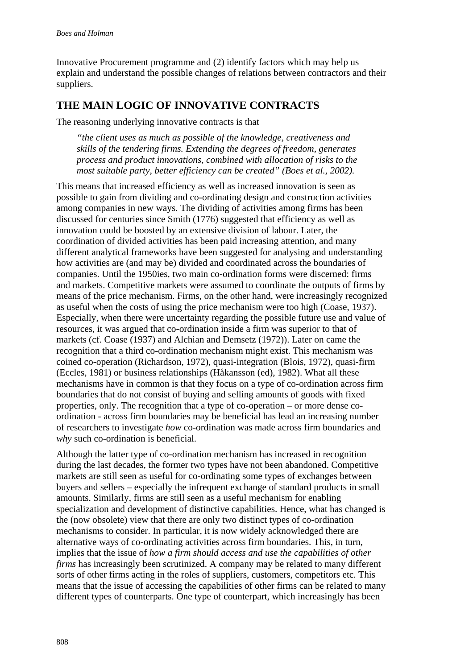Innovative Procurement programme and (2) identify factors which may help us explain and understand the possible changes of relations between contractors and their suppliers.

### **THE MAIN LOGIC OF INNOVATIVE CONTRACTS**

The reasoning underlying innovative contracts is that

*"the client uses as much as possible of the knowledge, creativeness and skills of the tendering firms. Extending the degrees of freedom, generates process and product innovations, combined with allocation of risks to the most suitable party, better efficiency can be created" (Boes et al., 2002).* 

This means that increased efficiency as well as increased innovation is seen as possible to gain from dividing and co-ordinating design and construction activities among companies in new ways. The dividing of activities among firms has been discussed for centuries since Smith (1776) suggested that efficiency as well as innovation could be boosted by an extensive division of labour. Later, the coordination of divided activities has been paid increasing attention, and many different analytical frameworks have been suggested for analysing and understanding how activities are (and may be) divided and coordinated across the boundaries of companies. Until the 1950ies, two main co-ordination forms were discerned: firms and markets. Competitive markets were assumed to coordinate the outputs of firms by means of the price mechanism. Firms, on the other hand, were increasingly recognized as useful when the costs of using the price mechanism were too high (Coase, 1937). Especially, when there were uncertainty regarding the possible future use and value of resources, it was argued that co-ordination inside a firm was superior to that of markets (cf. Coase (1937) and Alchian and Demsetz (1972)). Later on came the recognition that a third co-ordination mechanism might exist. This mechanism was coined co-operation (Richardson, 1972), quasi-integration (Blois, 1972), quasi-firm (Eccles, 1981) or business relationships (Håkansson (ed), 1982). What all these mechanisms have in common is that they focus on a type of co-ordination across firm boundaries that do not consist of buying and selling amounts of goods with fixed properties, only. The recognition that a type of co-operation – or more dense coordination - across firm boundaries may be beneficial has lead an increasing number of researchers to investigate *how* co-ordination was made across firm boundaries and *why* such co-ordination is beneficial.

Although the latter type of co-ordination mechanism has increased in recognition during the last decades, the former two types have not been abandoned. Competitive markets are still seen as useful for co-ordinating some types of exchanges between buyers and sellers – especially the infrequent exchange of standard products in small amounts. Similarly, firms are still seen as a useful mechanism for enabling specialization and development of distinctive capabilities. Hence, what has changed is the (now obsolete) view that there are only two distinct types of co-ordination mechanisms to consider. In particular, it is now widely acknowledged there are alternative ways of co-ordinating activities across firm boundaries. This, in turn, implies that the issue of *how a firm should access and use the capabilities of other firms* has increasingly been scrutinized. A company may be related to many different sorts of other firms acting in the roles of suppliers, customers, competitors etc. This means that the issue of accessing the capabilities of other firms can be related to many different types of counterparts. One type of counterpart, which increasingly has been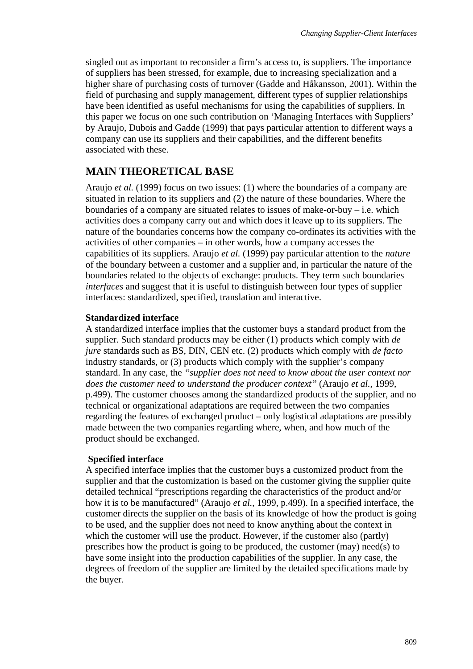singled out as important to reconsider a firm's access to, is suppliers. The importance of suppliers has been stressed, for example, due to increasing specialization and a higher share of purchasing costs of turnover (Gadde and Håkansson, 2001). Within the field of purchasing and supply management, different types of supplier relationships have been identified as useful mechanisms for using the capabilities of suppliers. In this paper we focus on one such contribution on 'Managing Interfaces with Suppliers' by Araujo, Dubois and Gadde (1999) that pays particular attention to different ways a company can use its suppliers and their capabilities, and the different benefits associated with these.

## **MAIN THEORETICAL BASE**

Araujo *et al.* (1999) focus on two issues: (1) where the boundaries of a company are situated in relation to its suppliers and (2) the nature of these boundaries. Where the boundaries of a company are situated relates to issues of make-or-buy  $-$  i.e. which activities does a company carry out and which does it leave up to its suppliers. The nature of the boundaries concerns how the company co-ordinates its activities with the activities of other companies – in other words, how a company accesses the capabilities of its suppliers. Araujo *et al.* (1999) pay particular attention to the *nature* of the boundary between a customer and a supplier and, in particular the nature of the boundaries related to the objects of exchange: products. They term such boundaries *interfaces* and suggest that it is useful to distinguish between four types of supplier interfaces: standardized, specified, translation and interactive.

#### **Standardized interface**

A standardized interface implies that the customer buys a standard product from the supplier. Such standard products may be either (1) products which comply with *de jure* standards such as BS, DIN, CEN etc. (2) products which comply with *de facto* industry standards, or (3) products which comply with the supplier's company standard. In any case, the *"supplier does not need to know about the user context nor does the customer need to understand the producer context"* (Araujo *et al.*, 1999, p.499). The customer chooses among the standardized products of the supplier, and no technical or organizational adaptations are required between the two companies regarding the features of exchanged product – only logistical adaptations are possibly made between the two companies regarding where, when, and how much of the product should be exchanged.

#### **Specified interface**

A specified interface implies that the customer buys a customized product from the supplier and that the customization is based on the customer giving the supplier quite detailed technical "prescriptions regarding the characteristics of the product and/or how it is to be manufactured" (Araujo *et al.*, 1999, p.499). In a specified interface, the customer directs the supplier on the basis of its knowledge of how the product is going to be used, and the supplier does not need to know anything about the context in which the customer will use the product. However, if the customer also (partly) prescribes how the product is going to be produced, the customer (may) need(s) to have some insight into the production capabilities of the supplier. In any case, the degrees of freedom of the supplier are limited by the detailed specifications made by the buyer.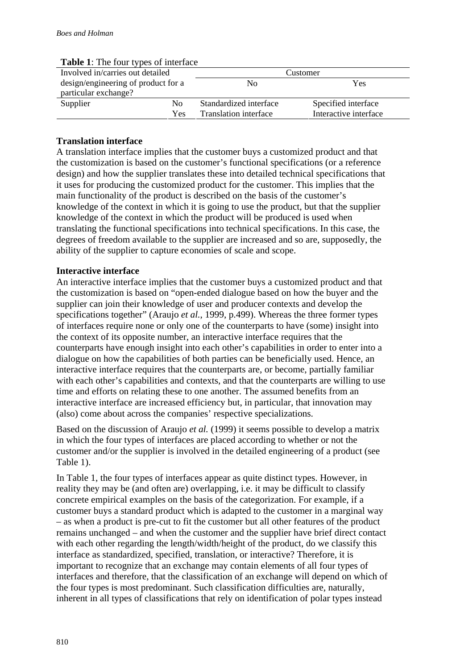| <b>Table 1.</b> The four types of interface |     |                        |                       |  |
|---------------------------------------------|-----|------------------------|-----------------------|--|
| Involved in/carries out detailed            |     | Customer               |                       |  |
| design/engineering of product for a         |     | No                     | Yes                   |  |
| particular exchange?                        |     |                        |                       |  |
| Supplier                                    | No. | Standardized interface | Specified interface   |  |
|                                             | Yes | Translation interface  | Interactive interface |  |

#### **Table 1**: The four types of interface

#### **Translation interface**

A translation interface implies that the customer buys a customized product and that the customization is based on the customer's functional specifications (or a reference design) and how the supplier translates these into detailed technical specifications that it uses for producing the customized product for the customer. This implies that the main functionality of the product is described on the basis of the customer's knowledge of the context in which it is going to use the product, but that the supplier knowledge of the context in which the product will be produced is used when translating the functional specifications into technical specifications. In this case, the degrees of freedom available to the supplier are increased and so are, supposedly, the ability of the supplier to capture economies of scale and scope.

#### **Interactive interface**

An interactive interface implies that the customer buys a customized product and that the customization is based on "open-ended dialogue based on how the buyer and the supplier can join their knowledge of user and producer contexts and develop the specifications together" (Araujo *et al.*, 1999, p.499). Whereas the three former types of interfaces require none or only one of the counterparts to have (some) insight into the context of its opposite number, an interactive interface requires that the counterparts have enough insight into each other's capabilities in order to enter into a dialogue on how the capabilities of both parties can be beneficially used. Hence, an interactive interface requires that the counterparts are, or become, partially familiar with each other's capabilities and contexts, and that the counterparts are willing to use time and efforts on relating these to one another. The assumed benefits from an interactive interface are increased efficiency but, in particular, that innovation may (also) come about across the companies' respective specializations.

Based on the discussion of Araujo *et al.* (1999) it seems possible to develop a matrix in which the four types of interfaces are placed according to whether or not the customer and/or the supplier is involved in the detailed engineering of a product (see Table 1).

In Table 1, the four types of interfaces appear as quite distinct types. However, in reality they may be (and often are) overlapping, i.e. it may be difficult to classify concrete empirical examples on the basis of the categorization. For example, if a customer buys a standard product which is adapted to the customer in a marginal way – as when a product is pre-cut to fit the customer but all other features of the product remains unchanged – and when the customer and the supplier have brief direct contact with each other regarding the length/width/height of the product, do we classify this interface as standardized, specified, translation, or interactive? Therefore, it is important to recognize that an exchange may contain elements of all four types of interfaces and therefore, that the classification of an exchange will depend on which of the four types is most predominant. Such classification difficulties are, naturally, inherent in all types of classifications that rely on identification of polar types instead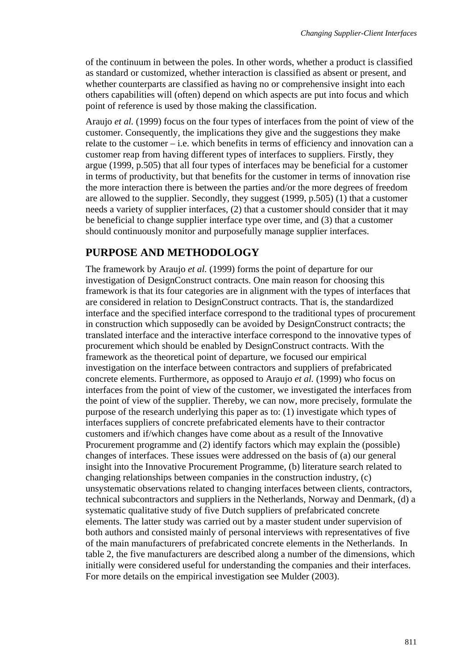of the continuum in between the poles. In other words, whether a product is classified as standard or customized, whether interaction is classified as absent or present, and whether counterparts are classified as having no or comprehensive insight into each others capabilities will (often) depend on which aspects are put into focus and which point of reference is used by those making the classification.

Araujo *et al.* (1999) focus on the four types of interfaces from the point of view of the customer. Consequently, the implications they give and the suggestions they make relate to the customer – i.e. which benefits in terms of efficiency and innovation can a customer reap from having different types of interfaces to suppliers. Firstly, they argue (1999, p.505) that all four types of interfaces may be beneficial for a customer in terms of productivity, but that benefits for the customer in terms of innovation rise the more interaction there is between the parties and/or the more degrees of freedom are allowed to the supplier. Secondly, they suggest (1999, p.505) (1) that a customer needs a variety of supplier interfaces, (2) that a customer should consider that it may be beneficial to change supplier interface type over time, and (3) that a customer should continuously monitor and purposefully manage supplier interfaces.

## **PURPOSE AND METHODOLOGY**

The framework by Araujo *et al.* (1999) forms the point of departure for our investigation of DesignConstruct contracts. One main reason for choosing this framework is that its four categories are in alignment with the types of interfaces that are considered in relation to DesignConstruct contracts. That is, the standardized interface and the specified interface correspond to the traditional types of procurement in construction which supposedly can be avoided by DesignConstruct contracts; the translated interface and the interactive interface correspond to the innovative types of procurement which should be enabled by DesignConstruct contracts. With the framework as the theoretical point of departure, we focused our empirical investigation on the interface between contractors and suppliers of prefabricated concrete elements. Furthermore, as opposed to Araujo *et al.* (1999) who focus on interfaces from the point of view of the customer, we investigated the interfaces from the point of view of the supplier. Thereby, we can now, more precisely, formulate the purpose of the research underlying this paper as to: (1) investigate which types of interfaces suppliers of concrete prefabricated elements have to their contractor customers and if/which changes have come about as a result of the Innovative Procurement programme and (2) identify factors which may explain the (possible) changes of interfaces. These issues were addressed on the basis of (a) our general insight into the Innovative Procurement Programme, (b) literature search related to changing relationships between companies in the construction industry, (c) unsystematic observations related to changing interfaces between clients, contractors, technical subcontractors and suppliers in the Netherlands, Norway and Denmark, (d) a systematic qualitative study of five Dutch suppliers of prefabricated concrete elements. The latter study was carried out by a master student under supervision of both authors and consisted mainly of personal interviews with representatives of five of the main manufacturers of prefabricated concrete elements in the Netherlands. In table 2, the five manufacturers are described along a number of the dimensions, which initially were considered useful for understanding the companies and their interfaces. For more details on the empirical investigation see Mulder (2003).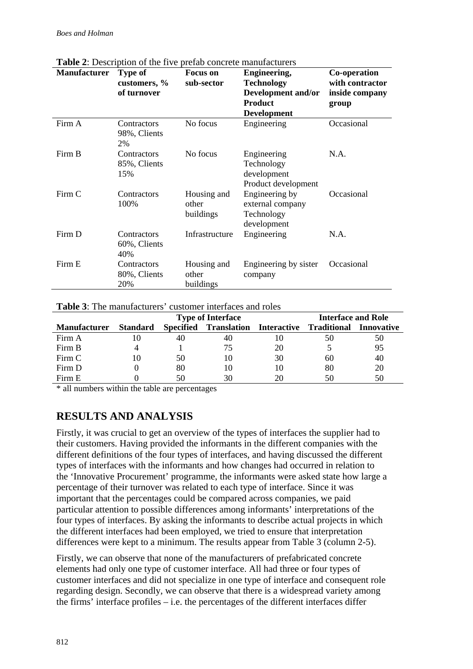| <b>Manufacturer</b> | <b>There</b> $\blacksquare$ . Description of the five prefuo concrete mundial distribution<br><b>Type of</b><br>customers, %<br>of turnover | <b>Focus</b> on<br>sub-sector     | Engineering,<br><b>Technology</b><br>Development and/or<br><b>Product</b> | Co-operation<br>with contractor<br>inside company<br>group |
|---------------------|---------------------------------------------------------------------------------------------------------------------------------------------|-----------------------------------|---------------------------------------------------------------------------|------------------------------------------------------------|
|                     |                                                                                                                                             |                                   | <b>Development</b>                                                        |                                                            |
| Firm A              | Contractors<br>98%, Clients<br>2%                                                                                                           | No focus                          | Engineering                                                               | Occasional                                                 |
| Firm B              | Contractors<br>85%, Clients<br>15%                                                                                                          | No focus                          | Engineering<br>Technology<br>development<br>Product development           | N.A.                                                       |
| Firm C              | Contractors<br>100%                                                                                                                         | Housing and<br>other<br>buildings | Engineering by<br>external company<br>Technology<br>development           | Occasional                                                 |
| Firm D              | Contractors<br>60%, Clients<br>40%                                                                                                          | Infrastructure                    | Engineering                                                               | N.A.                                                       |
| Firm E              | Contractors<br>80%, Clients<br>20%                                                                                                          | Housing and<br>other<br>buildings | Engineering by sister<br>company                                          | Occasional                                                 |

**Table 2**: Description of the five prefab concrete manufacturers

|  | <b>Table 3:</b> The manufacturers' customer interfaces and roles |
|--|------------------------------------------------------------------|
|--|------------------------------------------------------------------|

|                     |                 | <b>Type of Interface</b> |                                   |    | <b>Interface and Role</b> |            |
|---------------------|-----------------|--------------------------|-----------------------------------|----|---------------------------|------------|
| <b>Manufacturer</b> | <b>Standard</b> |                          | Specified Translation Interactive |    | Traditional               | Innovative |
| Firm A              |                 | 40                       | 40                                | 10 | 50                        | 50         |
| Firm B              |                 |                          | 75                                | 20 |                           | 95         |
| Firm C              | 10              | 50                       | 10                                | 30 | 60                        | 40         |
| Firm D              |                 | 80                       | 10                                | 10 | 80                        | 20         |
| Firm E              |                 | 50                       | 30                                | 20 | 50                        | 50         |

\* all numbers within the table are percentages

## **RESULTS AND ANALYSIS**

Firstly, it was crucial to get an overview of the types of interfaces the supplier had to their customers. Having provided the informants in the different companies with the different definitions of the four types of interfaces, and having discussed the different types of interfaces with the informants and how changes had occurred in relation to the 'Innovative Procurement' programme, the informants were asked state how large a percentage of their turnover was related to each type of interface. Since it was important that the percentages could be compared across companies, we paid particular attention to possible differences among informants' interpretations of the four types of interfaces. By asking the informants to describe actual projects in which the different interfaces had been employed, we tried to ensure that interpretation differences were kept to a minimum. The results appear from Table 3 (column 2-5).

Firstly, we can observe that none of the manufacturers of prefabricated concrete elements had only one type of customer interface. All had three or four types of customer interfaces and did not specialize in one type of interface and consequent role regarding design. Secondly, we can observe that there is a widespread variety among the firms' interface profiles – i.e. the percentages of the different interfaces differ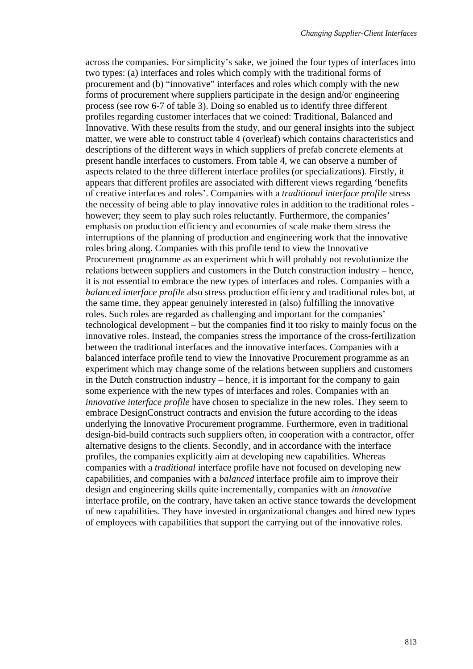across the companies. For simplicity's sake, we joined the four types of interfaces into two types: (a) interfaces and roles which comply with the traditional forms of procurement and (b) "innovative" interfaces and roles which comply with the new forms of procurement where suppliers participate in the design and/or engineering process (see row 6-7 of table 3). Doing so enabled us to identify three different profiles regarding customer interfaces that we coined: Traditional, Balanced and Innovative. With these results from the study, and our general insights into the subject matter, we were able to construct table 4 (overleaf) which contains characteristics and descriptions of the different ways in which suppliers of prefab concrete elements at present handle interfaces to customers. From table 4, we can observe a number of aspects related to the three different interface profiles (or specializations). Firstly, it appears that different profiles are associated with different views regarding 'benefits of creative interfaces and roles'. Companies with a *traditional interface profile* stress the necessity of being able to play innovative roles in addition to the traditional roles however; they seem to play such roles reluctantly. Furthermore, the companies' emphasis on production efficiency and economies of scale make them stress the interruptions of the planning of production and engineering work that the innovative roles bring along. Companies with this profile tend to view the Innovative Procurement programme as an experiment which will probably not revolutionize the relations between suppliers and customers in the Dutch construction industry – hence, it is not essential to embrace the new types of interfaces and roles. Companies with a *balanced interface profile* also stress production efficiency and traditional roles but, at the same time, they appear genuinely interested in (also) fulfilling the innovative roles. Such roles are regarded as challenging and important for the companies' technological development – but the companies find it too risky to mainly focus on the innovative roles. Instead, the companies stress the importance of the cross-fertilization between the traditional interfaces and the innovative interfaces. Companies with a balanced interface profile tend to view the Innovative Procurement programme as an experiment which may change some of the relations between suppliers and customers in the Dutch construction industry – hence, it is important for the company to gain some experience with the new types of interfaces and roles. Companies with an *innovative interface profile* have chosen to specialize in the new roles. They seem to embrace DesignConstruct contracts and envision the future according to the ideas underlying the Innovative Procurement programme. Furthermore, even in traditional design-bid-build contracts such suppliers often, in cooperation with a contractor, offer alternative designs to the clients. Secondly, and in accordance with the interface profiles, the companies explicitly aim at developing new capabilities. Whereas companies with a *traditional* interface profile have not focused on developing new capabilities, and companies with a *balanced* interface profile aim to improve their design and engineering skills quite incrementally, companies with an *innovative* interface profile, on the contrary, have taken an active stance towards the development of new capabilities. They have invested in organizational changes and hired new types of employees with capabilities that support the carrying out of the innovative roles.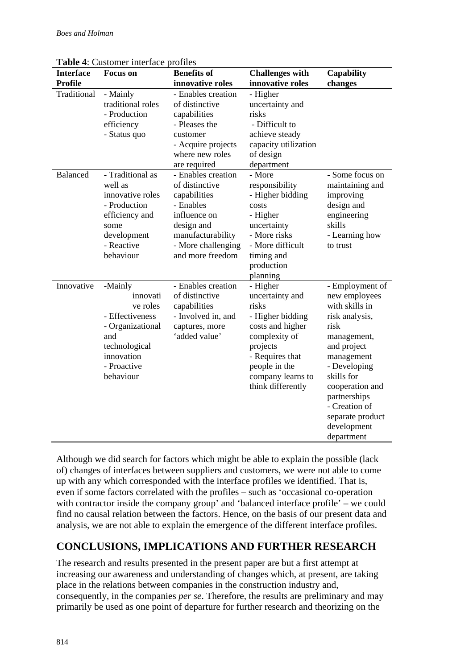| <b>Interface</b> | <b>Focus</b> on                                                                                                                          | <b>Benefits of</b>                                                                                                                                             | <b>Challenges with</b>                                                                                                                                                                  | Capability                                                                                                                                                                                                                                                  |
|------------------|------------------------------------------------------------------------------------------------------------------------------------------|----------------------------------------------------------------------------------------------------------------------------------------------------------------|-----------------------------------------------------------------------------------------------------------------------------------------------------------------------------------------|-------------------------------------------------------------------------------------------------------------------------------------------------------------------------------------------------------------------------------------------------------------|
| <b>Profile</b>   |                                                                                                                                          | innovative roles                                                                                                                                               | innovative roles                                                                                                                                                                        | changes                                                                                                                                                                                                                                                     |
| Traditional      | - Mainly<br>traditional roles<br>- Production<br>efficiency<br>- Status quo                                                              | - Enables creation<br>of distinctive<br>capabilities<br>- Pleases the<br>customer<br>- Acquire projects<br>where new roles<br>are required                     | - Higher<br>uncertainty and<br>risks<br>- Difficult to<br>achieve steady<br>capacity utilization<br>of design<br>department                                                             |                                                                                                                                                                                                                                                             |
| <b>Balanced</b>  | - Traditional as<br>well as<br>innovative roles<br>- Production<br>efficiency and<br>some<br>development<br>- Reactive<br>behaviour      | - Enables creation<br>of distinctive<br>capabilities<br>- Enables<br>influence on<br>design and<br>manufacturability<br>- More challenging<br>and more freedom | - More<br>responsibility<br>- Higher bidding<br>costs<br>- Higher<br>uncertainty<br>- More risks<br>- More difficult<br>timing and<br>production<br>planning                            | - Some focus on<br>maintaining and<br>improving<br>design and<br>engineering<br>skills<br>- Learning how<br>to trust                                                                                                                                        |
| Innovative       | -Mainly<br>innovati<br>ve roles<br>- Effectiveness<br>- Organizational<br>and<br>technological<br>innovation<br>- Proactive<br>behaviour | - Enables creation<br>of distinctive<br>capabilities<br>- Involved in, and<br>captures, more<br>'added value'                                                  | - Higher<br>uncertainty and<br>risks<br>- Higher bidding<br>costs and higher<br>complexity of<br>projects<br>- Requires that<br>people in the<br>company learns to<br>think differently | - Employment of<br>new employees<br>with skills in<br>risk analysis,<br>risk<br>management,<br>and project<br>management<br>- Developing<br>skills for<br>cooperation and<br>partnerships<br>- Creation of<br>separate product<br>development<br>department |

**Table 4**: Customer interface profiles

Although we did search for factors which might be able to explain the possible (lack of) changes of interfaces between suppliers and customers, we were not able to come up with any which corresponded with the interface profiles we identified. That is, even if some factors correlated with the profiles – such as 'occasional co-operation with contractor inside the company group' and 'balanced interface profile' – we could find no causal relation between the factors. Hence, on the basis of our present data and analysis, we are not able to explain the emergence of the different interface profiles.

## **CONCLUSIONS, IMPLICATIONS AND FURTHER RESEARCH**

The research and results presented in the present paper are but a first attempt at increasing our awareness and understanding of changes which, at present, are taking place in the relations between companies in the construction industry and, consequently, in the companies *per se*. Therefore, the results are preliminary and may primarily be used as one point of departure for further research and theorizing on the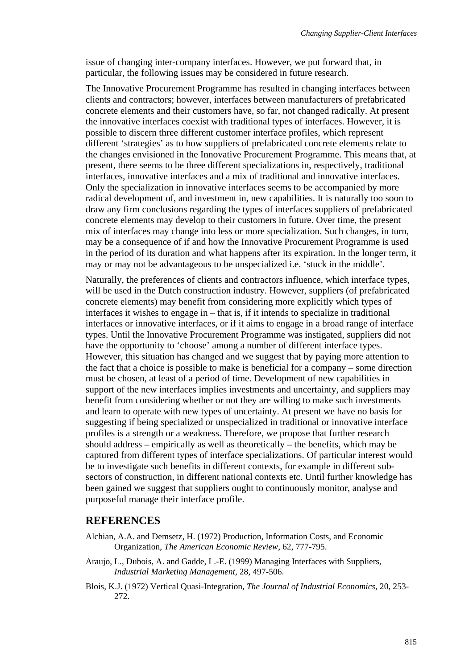issue of changing inter-company interfaces. However, we put forward that, in particular, the following issues may be considered in future research.

The Innovative Procurement Programme has resulted in changing interfaces between clients and contractors; however, interfaces between manufacturers of prefabricated concrete elements and their customers have, so far, not changed radically. At present the innovative interfaces coexist with traditional types of interfaces. However, it is possible to discern three different customer interface profiles, which represent different 'strategies' as to how suppliers of prefabricated concrete elements relate to the changes envisioned in the Innovative Procurement Programme. This means that, at present, there seems to be three different specializations in, respectively, traditional interfaces, innovative interfaces and a mix of traditional and innovative interfaces. Only the specialization in innovative interfaces seems to be accompanied by more radical development of, and investment in, new capabilities. It is naturally too soon to draw any firm conclusions regarding the types of interfaces suppliers of prefabricated concrete elements may develop to their customers in future. Over time, the present mix of interfaces may change into less or more specialization. Such changes, in turn, may be a consequence of if and how the Innovative Procurement Programme is used in the period of its duration and what happens after its expiration. In the longer term, it may or may not be advantageous to be unspecialized i.e. 'stuck in the middle'.

Naturally, the preferences of clients and contractors influence, which interface types, will be used in the Dutch construction industry. However, suppliers (of prefabricated concrete elements) may benefit from considering more explicitly which types of interfaces it wishes to engage in – that is, if it intends to specialize in traditional interfaces or innovative interfaces, or if it aims to engage in a broad range of interface types. Until the Innovative Procurement Programme was instigated, suppliers did not have the opportunity to 'choose' among a number of different interface types. However, this situation has changed and we suggest that by paying more attention to the fact that a choice is possible to make is beneficial for a company – some direction must be chosen, at least of a period of time. Development of new capabilities in support of the new interfaces implies investments and uncertainty, and suppliers may benefit from considering whether or not they are willing to make such investments and learn to operate with new types of uncertainty. At present we have no basis for suggesting if being specialized or unspecialized in traditional or innovative interface profiles is a strength or a weakness. Therefore, we propose that further research should address – empirically as well as theoretically – the benefits, which may be captured from different types of interface specializations. Of particular interest would be to investigate such benefits in different contexts, for example in different subsectors of construction, in different national contexts etc. Until further knowledge has been gained we suggest that suppliers ought to continuously monitor, analyse and purposeful manage their interface profile.

## **REFERENCES**

- Alchian, A.A. and Demsetz, H. (1972) Production, Information Costs, and Economic Organization, *The American Economic Review*, 62, 777-795.
- Araujo, L., Dubois, A. and Gadde, L.-E. (1999) Managing Interfaces with Suppliers, *Industrial Marketing Management*, 28, 497-506.
- Blois, K.J. (1972) Vertical Quasi-Integration, *The Journal of Industrial Economics*, 20, 253- 272.